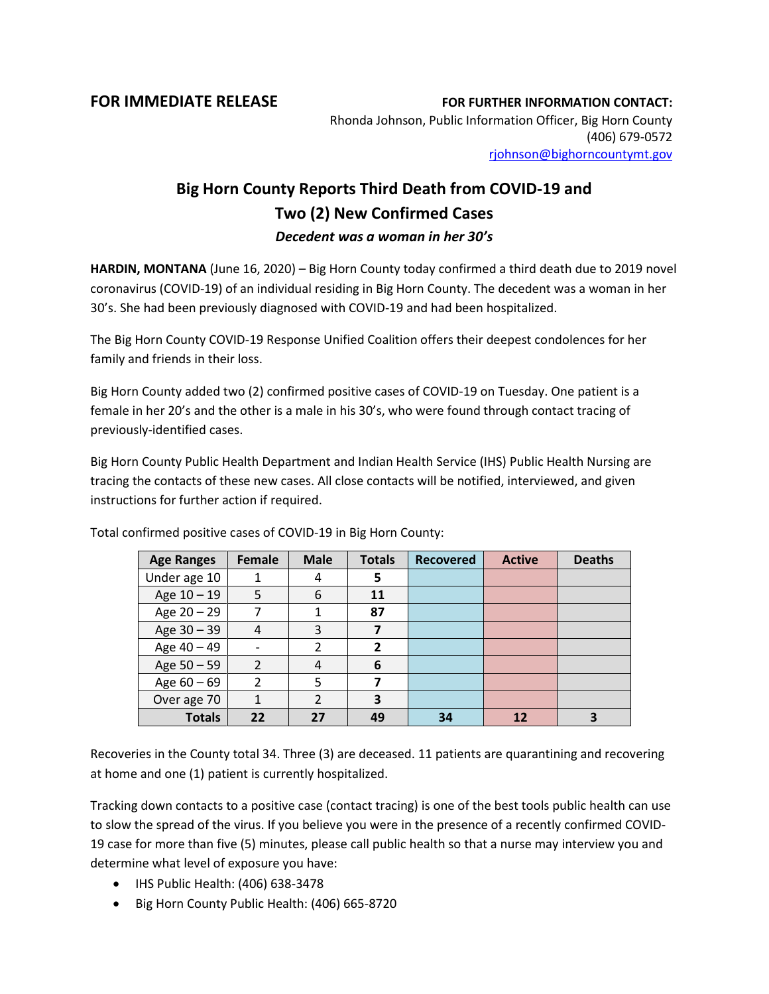**FOR IMMEDIATE RELEASE FOR FURTHER INFORMATION CONTACT:** Rhonda Johnson, Public Information Officer, Big Horn County (406) 679-0572 [rjohnson@bighorncountymt.gov](mailto:rjohnson@bighorncountymt.gov)

## **Big Horn County Reports Third Death from COVID-19 and Two (2) New Confirmed Cases** *Decedent was a woman in her 30's*

**HARDIN, MONTANA** (June 16, 2020) – Big Horn County today confirmed a third death due to 2019 novel coronavirus (COVID-19) of an individual residing in Big Horn County. The decedent was a woman in her 30's. She had been previously diagnosed with COVID-19 and had been hospitalized.

The Big Horn County COVID-19 Response Unified Coalition offers their deepest condolences for her family and friends in their loss.

Big Horn County added two (2) confirmed positive cases of COVID-19 on Tuesday. One patient is a female in her 20's and the other is a male in his 30's, who were found through contact tracing of previously-identified cases.

Big Horn County Public Health Department and Indian Health Service (IHS) Public Health Nursing are tracing the contacts of these new cases. All close contacts will be notified, interviewed, and given instructions for further action if required.

| <b>Age Ranges</b> | <b>Female</b>  | <b>Male</b>    | <b>Totals</b>  | <b>Recovered</b> | <b>Active</b> | <b>Deaths</b> |
|-------------------|----------------|----------------|----------------|------------------|---------------|---------------|
| Under age 10      |                | 4              | 5              |                  |               |               |
| Age 10 - 19       | 5              | 6              | 11             |                  |               |               |
| Age $20 - 29$     | 7              |                | 87             |                  |               |               |
| Age $30 - 39$     | 4              | 3              |                |                  |               |               |
| Age 40 - 49       |                | 2              | $\overline{2}$ |                  |               |               |
| Age $50 - 59$     | $\overline{2}$ | 4              | 6              |                  |               |               |
| Age $60 - 69$     | $\mathfrak{p}$ | 5              |                |                  |               |               |
| Over age 70       |                | $\mathfrak{p}$ | 3              |                  |               |               |
| <b>Totals</b>     | 22             | 27             | 49             | 34               | 12            |               |

Total confirmed positive cases of COVID-19 in Big Horn County:

Recoveries in the County total 34. Three (3) are deceased. 11 patients are quarantining and recovering at home and one (1) patient is currently hospitalized.

Tracking down contacts to a positive case (contact tracing) is one of the best tools public health can use to slow the spread of the virus. If you believe you were in the presence of a recently confirmed COVID-19 case for more than five (5) minutes, please call public health so that a nurse may interview you and determine what level of exposure you have:

- IHS Public Health: (406) 638-3478
- Big Horn County Public Health: (406) 665-8720